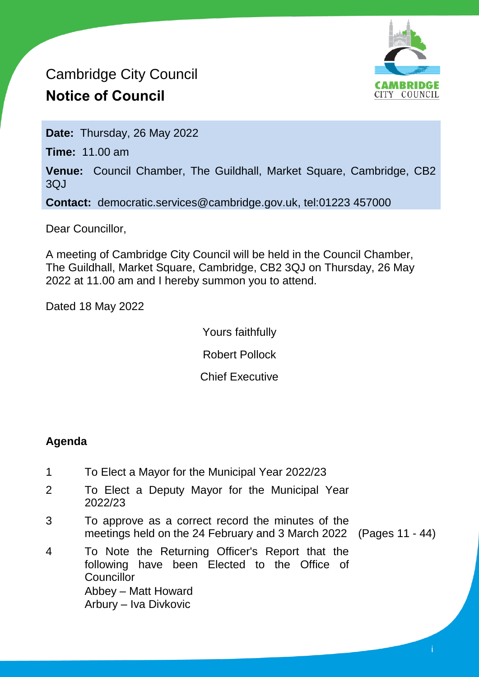# Cambridge City Council **Notice of Council**



**Date:** Thursday, 26 May 2022

**Time:** 11.00 am

**Venue:** Council Chamber, The Guildhall, Market Square, Cambridge, CB2 3QJ

**Contact:** democratic.services@cambridge.gov.uk, tel:01223 457000

Dear Councillor,

A meeting of Cambridge City Council will be held in the Council Chamber, The Guildhall, Market Square, Cambridge, CB2 3QJ on Thursday, 26 May 2022 at 11.00 am and I hereby summon you to attend.

Dated 18 May 2022

Yours faithfully

Robert Pollock

Chief Executive

# **Agenda**

- 1 To Elect a Mayor for the Municipal Year 2022/23
- 2 To Elect a Deputy Mayor for the Municipal Year 2022/23
- 3 To approve as a correct record the minutes of the meetings held on the 24 February and 3 March 2022 (Pages 11 - 44)
	-

i

4 To Note the Returning Officer's Report that the following have been Elected to the Office of Councillor Abbey – Matt Howard Arbury – Iva Divkovic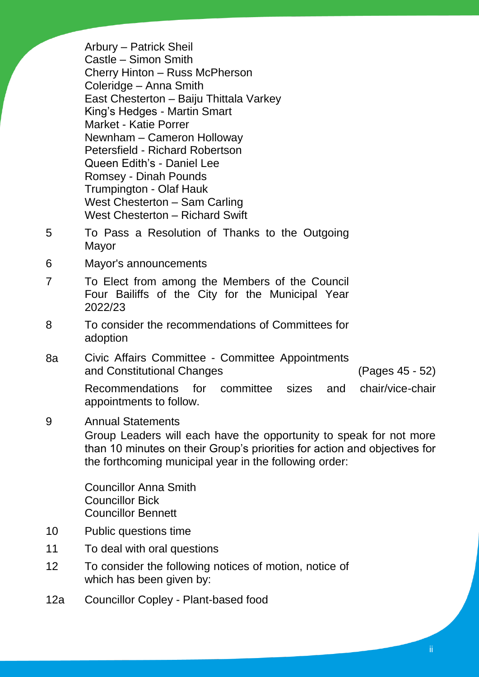Arbury – Patrick Sheil Castle – Simon Smith Cherry Hinton – Russ McPherson Coleridge – Anna Smith East Chesterton – Baiju Thittala Varkey King's Hedges - Martin Smart Market - Katie Porrer Newnham – Cameron Holloway Petersfield - Richard Robertson Queen Edith's - Daniel Lee Romsey - Dinah Pounds Trumpington - Olaf Hauk West Chesterton – Sam Carling West Chesterton – Richard Swift

- 5 To Pass a Resolution of Thanks to the Outgoing Mayor
- 6 Mayor's announcements
- 7 To Elect from among the Members of the Council Four Bailiffs of the City for the Municipal Year 2022/23
- 8 To consider the recommendations of Committees for adoption
- 8a Civic Affairs Committee Committee Appointments and Constitutional Changes (Pages 45 - 52)

Recommendations for committee sizes and chair/vice-chair appointments to follow.

9 Annual Statements Group Leaders will each have the opportunity to speak for not more than 10 minutes on their Group's priorities for action and objectives for the forthcoming municipal year in the following order:

Councillor Anna Smith Councillor Bick Councillor Bennett

- 10 Public questions time
- 11 To deal with oral questions
- 12 To consider the following notices of motion, notice of which has been given by:
- 12a Councillor Copley Plant-based food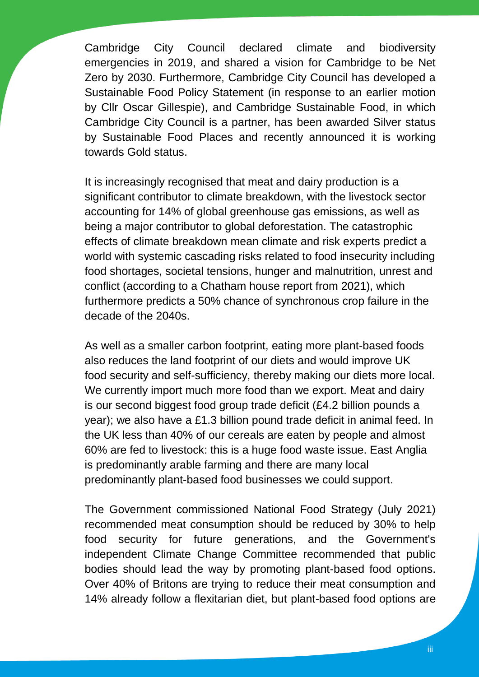Cambridge City Council declared climate and biodiversity emergencies in 2019, and shared a vision for Cambridge to be Net Zero by 2030. Furthermore, Cambridge City Council has developed a Sustainable Food Policy Statement (in response to an earlier motion by Cllr Oscar Gillespie), and Cambridge Sustainable Food, in which Cambridge City Council is a partner, has been awarded Silver status by Sustainable Food Places and recently announced it is working towards Gold status.

It is increasingly recognised that meat and dairy production is a significant contributor to climate breakdown, with the livestock sector accounting for 14% of global greenhouse gas emissions, as well as being a major contributor to global deforestation. The catastrophic effects of climate breakdown mean climate and risk experts predict a world with systemic cascading risks related to food insecurity including food shortages, societal tensions, hunger and malnutrition, unrest and conflict (according to a Chatham house report from 2021), which furthermore predicts a 50% chance of synchronous crop failure in the decade of the 2040s.

As well as a smaller carbon footprint, eating more plant-based foods also reduces the land footprint of our diets and would improve UK food security and self-sufficiency, thereby making our diets more local. We currently import much more food than we export. Meat and dairy is our second biggest food group trade deficit (£4.2 billion pounds a year); we also have a £1.3 billion pound trade deficit in animal feed. In the UK less than 40% of our cereals are eaten by people and almost 60% are fed to livestock: this is a huge food waste issue. East Anglia is predominantly arable farming and there are many local predominantly plant-based food businesses we could support.

The Government commissioned National Food Strategy (July 2021) recommended meat consumption should be reduced by 30% to help food security for future generations, and the Government's independent Climate Change Committee recommended that public bodies should lead the way by promoting plant-based food options. Over 40% of Britons are trying to reduce their meat consumption and 14% already follow a flexitarian diet, but plant-based food options are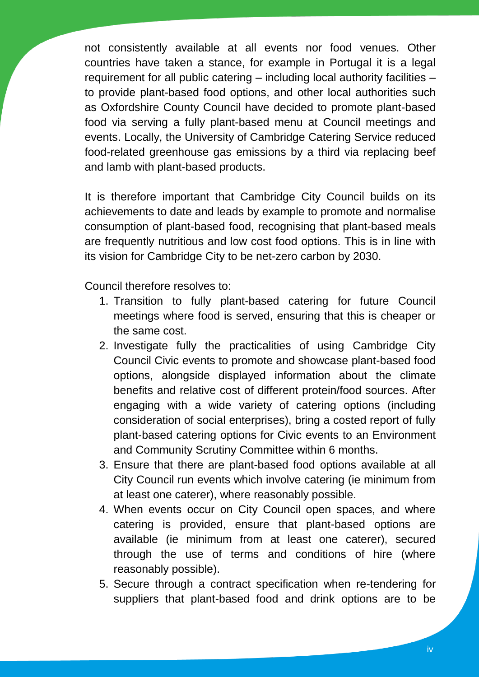not consistently available at all events nor food venues. Other countries have taken a stance, for example in Portugal it is a legal requirement for all public catering – including local authority facilities – to provide plant-based food options, and other local authorities such as Oxfordshire County Council have decided to promote plant-based food via serving a fully plant-based menu at Council meetings and events. Locally, the University of Cambridge Catering Service reduced food-related greenhouse gas emissions by a third via replacing beef and lamb with plant-based products.

It is therefore important that Cambridge City Council builds on its achievements to date and leads by example to promote and normalise consumption of plant-based food, recognising that plant-based meals are frequently nutritious and low cost food options. This is in line with its vision for Cambridge City to be net-zero carbon by 2030.

Council therefore resolves to:

- 1. Transition to fully plant-based catering for future Council meetings where food is served, ensuring that this is cheaper or the same cost.
- 2. Investigate fully the practicalities of using Cambridge City Council Civic events to promote and showcase plant-based food options, alongside displayed information about the climate benefits and relative cost of different protein/food sources. After engaging with a wide variety of catering options (including consideration of social enterprises), bring a costed report of fully plant-based catering options for Civic events to an Environment and Community Scrutiny Committee within 6 months.
- 3. Ensure that there are plant-based food options available at all City Council run events which involve catering (ie minimum from at least one caterer), where reasonably possible.
- 4. When events occur on City Council open spaces, and where catering is provided, ensure that plant-based options are available (ie minimum from at least one caterer), secured through the use of terms and conditions of hire (where reasonably possible).
- 5. Secure through a contract specification when re-tendering for suppliers that plant-based food and drink options are to be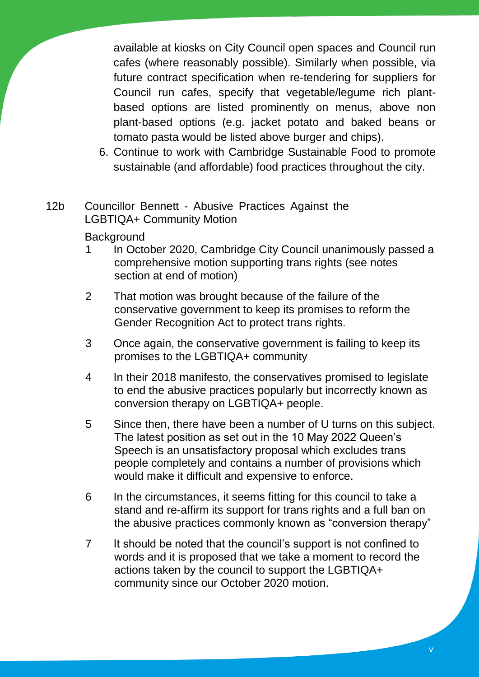available at kiosks on City Council open spaces and Council run cafes (where reasonably possible). Similarly when possible, via future contract specification when re-tendering for suppliers for Council run cafes, specify that vegetable/legume rich plantbased options are listed prominently on menus, above non plant-based options (e.g. jacket potato and baked beans or tomato pasta would be listed above burger and chips).

- 6. Continue to work with Cambridge Sustainable Food to promote sustainable (and affordable) food practices throughout the city.
- 12b Councillor Bennett Abusive Practices Against the LGBTIQA+ Community Motion

# **Background**

- 1 In October 2020, Cambridge City Council unanimously passed a comprehensive motion supporting trans rights (see notes section at end of motion)
- 2 That motion was brought because of the failure of the conservative government to keep its promises to reform the Gender Recognition Act to protect trans rights.
- 3 Once again, the conservative government is failing to keep its promises to the LGBTIQA+ community
- 4 In their 2018 manifesto, the conservatives promised to legislate to end the abusive practices popularly but incorrectly known as conversion therapy on LGBTIQA+ people.
- 5 Since then, there have been a number of U turns on this subject. The latest position as set out in the 10 May 2022 Queen's Speech is an unsatisfactory proposal which excludes trans people completely and contains a number of provisions which would make it difficult and expensive to enforce.
- 6 In the circumstances, it seems fitting for this council to take a stand and re-affirm its support for trans rights and a full ban on the abusive practices commonly known as "conversion therapy"
- 7 It should be noted that the council's support is not confined to words and it is proposed that we take a moment to record the actions taken by the council to support the LGBTIQA+ community since our October 2020 motion.

v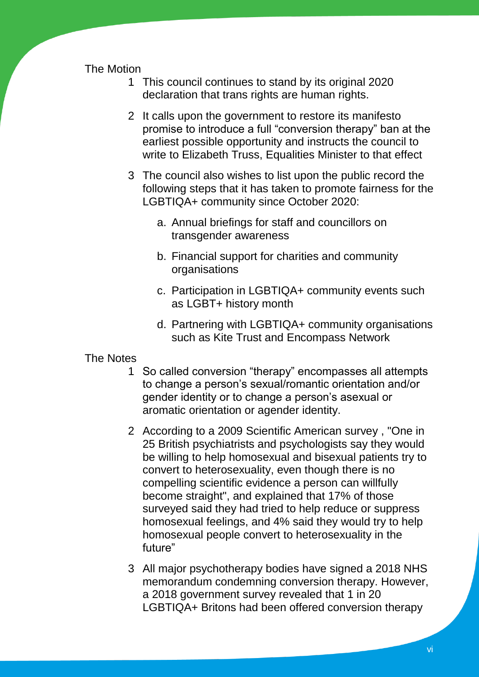## The Motion

- 1 This council continues to stand by its original 2020 declaration that trans rights are human rights.
- 2 It calls upon the government to restore its manifesto promise to introduce a full "conversion therapy" ban at the earliest possible opportunity and instructs the council to write to Elizabeth Truss, Equalities Minister to that effect
- 3 The council also wishes to list upon the public record the following steps that it has taken to promote fairness for the LGBTIQA+ community since October 2020:
	- a. Annual briefings for staff and councillors on transgender awareness
	- b. Financial support for charities and community organisations
	- c. Participation in LGBTIQA+ community events such as LGBT+ history month
	- d. Partnering with LGBTIQA+ community organisations such as Kite Trust and Encompass Network

#### The Notes

- 1 So called conversion "therapy" encompasses all attempts to change a person's sexual/romantic orientation and/or gender identity or to change a person's asexual or aromatic orientation or agender identity.
- 2 According to a 2009 Scientific American survey , "One in 25 British psychiatrists and psychologists say they would be willing to help homosexual and bisexual patients try to convert to heterosexuality, even though there is no compelling scientific evidence a person can willfully become straight", and explained that 17% of those surveyed said they had tried to help reduce or suppress homosexual feelings, and 4% said they would try to help homosexual people convert to heterosexuality in the future"
- 3 All major psychotherapy bodies have signed a 2018 NHS memorandum condemning conversion therapy. However, a 2018 government survey revealed that 1 in 20 LGBTIQA+ Britons had been offered conversion therapy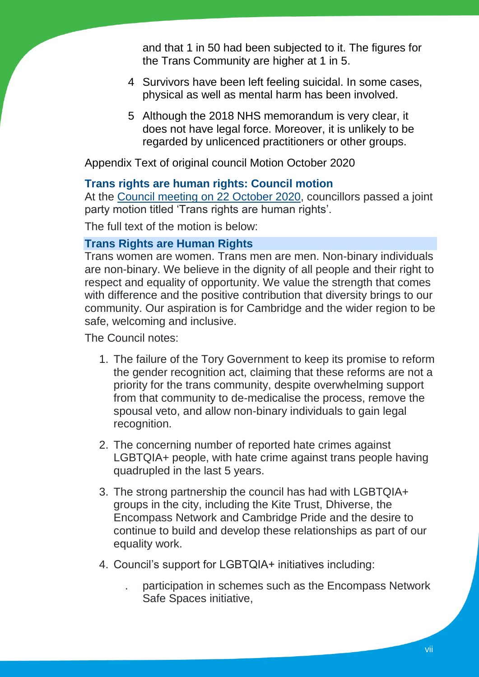and that 1 in 50 had been subjected to it. The figures for the Trans Community are higher at 1 in 5.

- 4 Survivors have been left feeling suicidal. In some cases, physical as well as mental harm has been involved.
- 5 Although the 2018 NHS memorandum is very clear, it does not have legal force. Moreover, it is unlikely to be regarded by unlicenced practitioners or other groups.

Appendix Text of original council Motion October 2020

#### **Trans rights are human rights: Council motion**

At the Council meeting on [22 October 2020,](https://democracy.cambridge.gov.uk/ieListDocuments.aspx?CId=116&MId=3778&Ver=4) councillors passed a joint party motion titled 'Trans rights are human rights'.

The full text of the motion is below:

## **Trans Rights are Human Rights**

Trans women are women. Trans men are men. Non-binary individuals are non-binary. We believe in the dignity of all people and their right to respect and equality of opportunity. We value the strength that comes with difference and the positive contribution that diversity brings to our community. Our aspiration is for Cambridge and the wider region to be safe, welcoming and inclusive.

The Council notes:

- 1. The failure of the Tory Government to keep its promise to reform the gender recognition act, claiming that these reforms are not a priority for the trans community, despite overwhelming support from that community to de-medicalise the process, remove the spousal veto, and allow non-binary individuals to gain legal recognition.
- 2. The concerning number of reported hate crimes against LGBTQIA+ people, with hate crime against trans people having quadrupled in the last 5 years.
- 3. The strong partnership the council has had with LGBTQIA+ groups in the city, including the Kite Trust, Dhiverse, the Encompass Network and Cambridge Pride and the desire to continue to build and develop these relationships as part of our equality work.
- 4. Council's support for LGBTQIA+ initiatives including:
	- . participation in schemes such as the Encompass Network Safe Spaces initiative,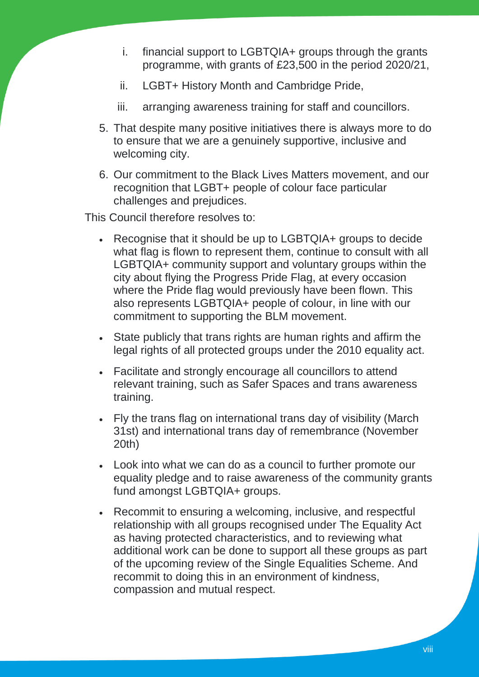- i. financial support to LGBTQIA+ groups through the grants programme, with grants of £23,500 in the period 2020/21,
- ii. LGBT+ History Month and Cambridge Pride,
- iii. arranging awareness training for staff and councillors.
- 5. That despite many positive initiatives there is always more to do to ensure that we are a genuinely supportive, inclusive and welcoming city.
- 6. Our commitment to the Black Lives Matters movement, and our recognition that LGBT+ people of colour face particular challenges and prejudices.

This Council therefore resolves to:

- Recognise that it should be up to LGBTQIA+ groups to decide what flag is flown to represent them, continue to consult with all LGBTQIA+ community support and voluntary groups within the city about flying the Progress Pride Flag, at every occasion where the Pride flag would previously have been flown. This also represents LGBTQIA+ people of colour, in line with our commitment to supporting the BLM movement.
- State publicly that trans rights are human rights and affirm the legal rights of all protected groups under the 2010 equality act.
- Facilitate and strongly encourage all councillors to attend relevant training, such as Safer Spaces and trans awareness training.
- Fly the trans flag on international trans day of visibility (March 31st) and international trans day of remembrance (November 20th)
- Look into what we can do as a council to further promote our equality pledge and to raise awareness of the community grants fund amongst LGBTQIA+ groups.
- Recommit to ensuring a welcoming, inclusive, and respectful relationship with all groups recognised under The Equality Act as having protected characteristics, and to reviewing what additional work can be done to support all these groups as part of the upcoming review of the Single Equalities Scheme. And recommit to doing this in an environment of kindness, compassion and mutual respect.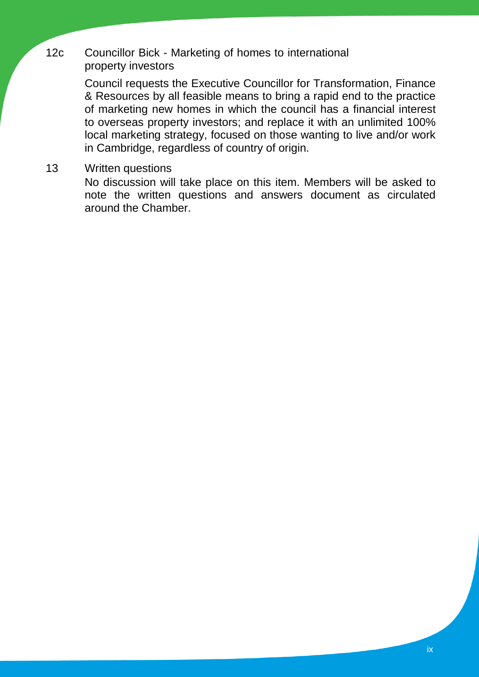## 12c Councillor Bick - Marketing of homes to international property investors

Council requests the Executive Councillor for Transformation, Finance & Resources by all feasible means to bring a rapid end to the practice of marketing new homes in which the council has a financial interest to overseas property investors; and replace it with an unlimited 100% local marketing strategy, focused on those wanting to live and/or work in Cambridge, regardless of country of origin.

13 Written questions

No discussion will take place on this item. Members will be asked to note the written questions and answers document as circulated around the Chamber.